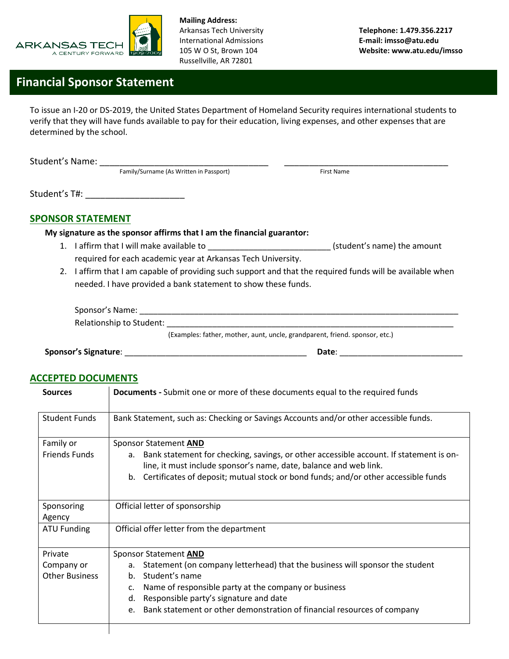

**Mailing Address:**  International Admissions **E-mail: imsso@atu.edu** Russellville, AR 72801

## **Financial Sponsor Statement**

To issue an I-20 or DS-2019, the United States Department of Homeland Security requires international students to verify that they will have funds available to pay for their education, living expenses, and other expenses that are determined by the school.

Student's Name: \_\_\_\_\_\_\_\_\_\_\_\_\_\_\_\_\_\_\_\_\_\_\_\_\_\_\_\_\_\_\_\_\_\_ \_\_\_\_\_\_\_\_\_\_\_\_\_\_\_\_\_\_\_\_\_\_\_\_\_\_\_\_\_\_\_\_\_ Family/Surname (As Written in Passport) First Name Student's T#:  $\overline{ }$ **SPONSOR STATEMENT My signature as the sponsor affirms that I am the financial guarantor:** 1. I affirm that I will make available to \_\_\_\_\_\_\_\_\_\_\_\_\_\_\_\_\_\_\_\_\_\_\_\_\_\_\_\_\_\_\_\_(student's name) the amount required for each academic year at Arkansas Tech University. 2. I affirm that I am capable of providing such support and that the required funds will be available when needed. I have provided a bank statement to show these funds.

| Sponsor's Name:          |                                                                             |
|--------------------------|-----------------------------------------------------------------------------|
| Relationship to Student: |                                                                             |
|                          | (Examples: father, mother, aunt, uncle, grandparent, friend. sponsor, etc.) |

**Sponsor's Signature**: \_\_\_\_\_\_\_\_\_\_\_\_\_\_\_\_\_\_\_\_\_\_\_\_\_\_\_\_\_\_\_\_\_\_\_\_\_\_\_\_ **Date**: \_\_\_\_\_\_\_\_\_\_\_\_\_\_\_\_\_\_\_\_\_\_\_\_\_\_\_

## **ACCEPTED DOCUMENTS**

| <b>Sources</b>        | <b>Documents</b> - Submit one or more of these documents equal to the required funds                                                                              |  |  |  |  |
|-----------------------|-------------------------------------------------------------------------------------------------------------------------------------------------------------------|--|--|--|--|
| <b>Student Funds</b>  | Bank Statement, such as: Checking or Savings Accounts and/or other accessible funds.                                                                              |  |  |  |  |
| Family or             | Sponsor Statement AND                                                                                                                                             |  |  |  |  |
| <b>Friends Funds</b>  | Bank statement for checking, savings, or other accessible account. If statement is on-<br>a.<br>line, it must include sponsor's name, date, balance and web link. |  |  |  |  |
|                       | Certificates of deposit; mutual stock or bond funds; and/or other accessible funds<br>$b_{\cdot}$                                                                 |  |  |  |  |
| Sponsoring            | Official letter of sponsorship                                                                                                                                    |  |  |  |  |
| Agency                |                                                                                                                                                                   |  |  |  |  |
| <b>ATU Funding</b>    | Official offer letter from the department                                                                                                                         |  |  |  |  |
| Private               | Sponsor Statement AND                                                                                                                                             |  |  |  |  |
| Company or            | Statement (on company letterhead) that the business will sponsor the student<br>a.                                                                                |  |  |  |  |
| <b>Other Business</b> | Student's name<br>$h_{-}$                                                                                                                                         |  |  |  |  |
|                       | Name of responsible party at the company or business<br>c.                                                                                                        |  |  |  |  |
|                       | Responsible party's signature and date<br>d.                                                                                                                      |  |  |  |  |
|                       | Bank statement or other demonstration of financial resources of company<br>e.                                                                                     |  |  |  |  |